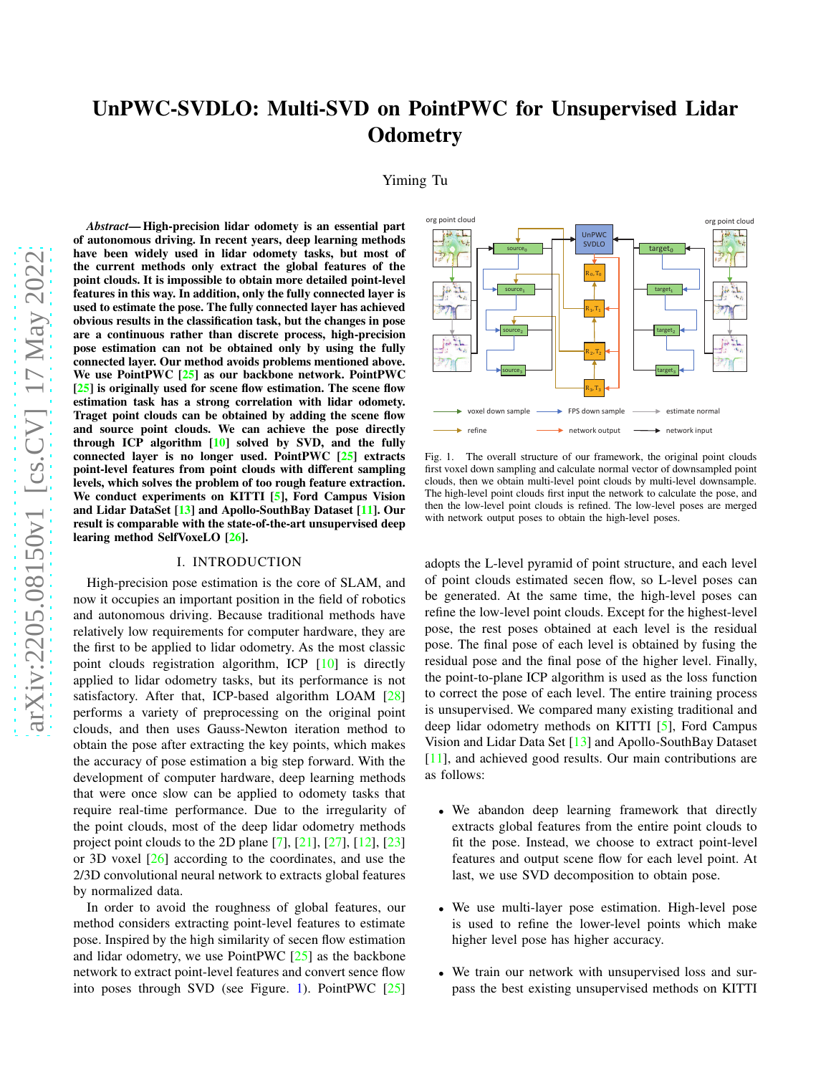Yiming Tu

*Abstract*— High-precision lidar odomety is an essential part of autonomous driving. In recent years, deep learning methods have been widely used in lidar odomety tasks, but most of the current methods only extract the global features of the point clouds. It is impossible to obtain more detailed point-level features in this way. In addition, only the fully connected layer is used to estimate the pose. The fully connected layer has achieved obvious results in the classification task, but the changes in pose are a continuous rather than discrete process, high-precision pose estimation can not be obtained only by using the fully connected layer. Our method avoids problems mentioned above. We use PointPWC [\[25\]](#page-6-0) as our backbone network. PointPWC [\[25\]](#page-6-0) is originally used for scene flow estimation. The scene flow estimation task has a strong correlation with lidar odomety. Traget point clouds can be obtained by adding the scene flow and source point clouds. We can achieve the pose directly through ICP algorithm [\[10\]](#page-5-0) solved by SVD, and the fully connected layer is no longer used. PointPWC [\[25\]](#page-6-0) extracts point-level features from point clouds with different sampling levels, which solves the problem of too rough feature extraction. We conduct experiments on KITTI [\[5\]](#page-5-1), Ford Campus Vision and Lidar DataSet [\[13\]](#page-5-2) and Apollo-SouthBay Dataset [\[11\]](#page-5-3). Our result is comparable with the state-of-the-art unsupervised deep learing method SelfVoxeLO [\[26\]](#page-6-1).

### I. INTRODUCTION

High-precision pose estimation is the core of SLAM, and now it occupies an important position in the field of robotics and autonomous driving. Because traditional methods have relatively low requirements for computer hardware, they are the first to be applied to lidar odometry. As the most classic point clouds registration algorithm, ICP [\[10\]](#page-5-0) is directly applied to lidar odometry tasks, but its performance is not satisfactory. After that, ICP-based algorithm LOAM [\[28\]](#page-6-2) performs a variety of preprocessing on the original point clouds, and then uses Gauss-Newton iteration method to obtain the pose after extracting the key points, which makes the accuracy of pose estimation a big step forward. With the development of computer hardware, deep learning methods that were once slow can be applied to odomety tasks that require real-time performance. Due to the irregularity of the point clouds, most of the deep lidar odometry methods project point clouds to the 2D plane [\[7\]](#page-5-4), [\[21\]](#page-6-3), [\[27\]](#page-6-4), [\[12\]](#page-5-5), [\[23\]](#page-6-5) or 3D voxel [\[26\]](#page-6-1) according to the coordinates, and use the 2/3D convolutional neural network to extracts global features by normalized data.

In order to avoid the roughness of global features, our method considers extracting point-level features to estimate pose. Inspired by the high similarity of secen flow estimation and lidar odometry, we use PointPWC [\[25\]](#page-6-0) as the backbone network to extract point-level features and convert sence flow into poses through SVD (see Figure. [1\)](#page-0-0). Point PWC  $[25]$ 



<span id="page-0-0"></span>Fig. 1. The overall structure of our framework, the original point clouds first voxel down sampling and calculate normal vector of downsampled point clouds, then we obtain multi-level point clouds by multi-level downsample. The high-level point clouds first input the network to calculate the pose, and then the low-level point clouds is refined. The low-level poses are merged with network output poses to obtain the high-level poses.

adopts the L-level pyramid of point structure, and each level of point clouds estimated secen flow, so L-level poses can be generated. At the same time, the high-level poses can refine the low-level point clouds. Except for the highest-level pose, the rest poses obtained at each level is the residual pose. The final pose of each level is obtained by fusing the residual pose and the final pose of the higher level. Finally, the point-to-plane ICP algorithm is used as the loss function to correct the pose of each level. The entire training process is unsupervised. We compared many existing traditional and deep lidar odometry methods on KITTI [\[5\]](#page-5-1), Ford Campus Vision and Lidar Data Set [\[13\]](#page-5-2) and Apollo-SouthBay Dataset [\[11\]](#page-5-3), and achieved good results. Our main contributions are as follows:

- We abandon deep learning framework that directly extracts global features from the entire point clouds to fit the pose. Instead, we choose to extract point-level features and output scene flow for each level point. At last, we use SVD decomposition to obtain pose.
- We use multi-layer pose estimation. High-level pose is used to refine the lower-level points which make higher level pose has higher accuracy.
- We train our network with unsupervised loss and surpass the best existing unsupervised methods on KITTI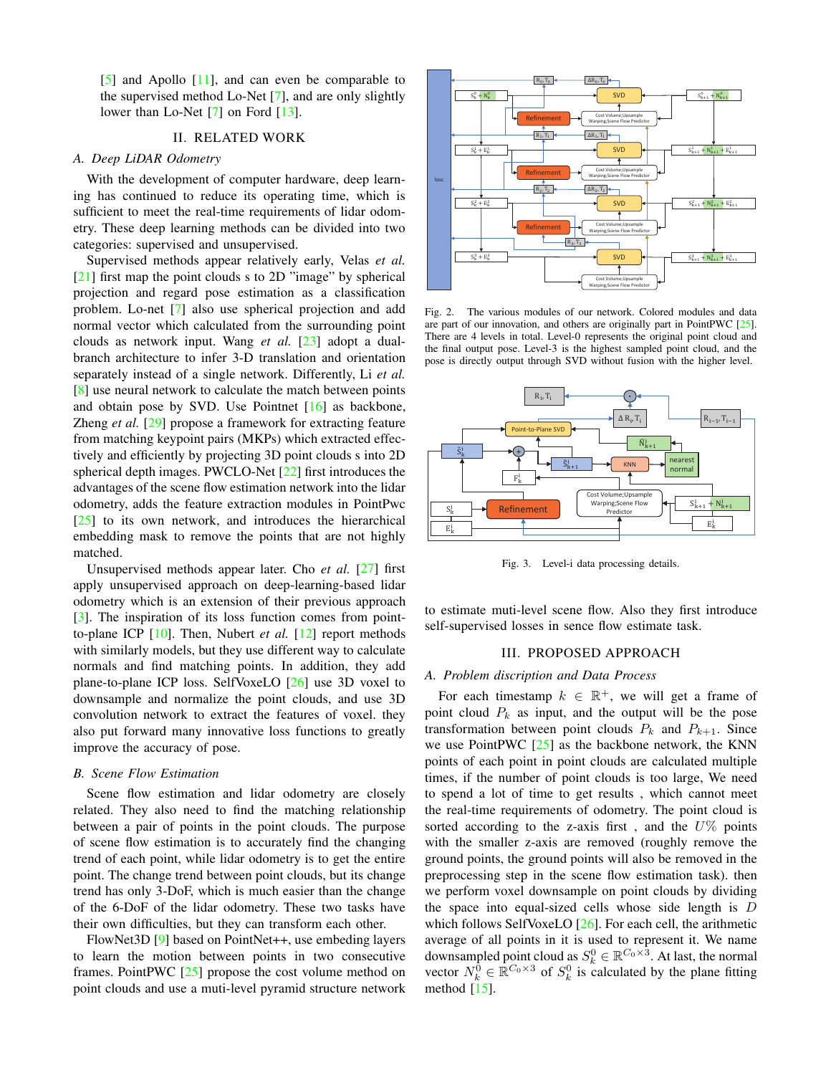[\[5\]](#page-5-1) and Apollo [\[11\]](#page-5-3), and can even be comparable to the supervised method Lo-Net [\[7\]](#page-5-4), and are only slightly lower than Lo-Net [\[7\]](#page-5-4) on Ford [\[13\]](#page-5-2).

# II. RELATED WORK

# *A. Deep LiDAR Odometry*

With the development of computer hardware, deep learning has continued to reduce its operating time, which is sufficient to meet the real-time requirements of lidar odometry. These deep learning methods can be divided into two categories: supervised and unsupervised.

Supervised methods appear relatively early, Velas *et al.* [\[21\]](#page-6-3) first map the point clouds s to 2D "image" by spherical projection and regard pose estimation as a classification problem. Lo-net [\[7\]](#page-5-4) also use spherical projection and add normal vector which calculated from the surrounding point clouds as network input. Wang *et al.* [\[23\]](#page-6-5) adopt a dualbranch architecture to infer 3-D translation and orientation separately instead of a single network. Differently, Li *et al.* [\[8\]](#page-5-6) use neural network to calculate the match between points and obtain pose by SVD. Use Pointnet [\[16\]](#page-5-7) as backbone, Zheng *et al.* [\[29\]](#page-6-6) propose a framework for extracting feature from matching keypoint pairs (MKPs) which extracted effectively and efficiently by projecting 3D point clouds s into 2D spherical depth images. PWCLO-Net [\[22\]](#page-6-7) first introduces the advantages of the scene flow estimation network into the lidar odometry, adds the feature extraction modules in PointPwc  $[25]$  to its own network, and introduces the hierarchical embedding mask to remove the points that are not highly matched.

Unsupervised methods appear later. Cho *et al.* [\[27\]](#page-6-4) first apply unsupervised approach on deep-learning-based lidar odometry which is an extension of their previous approach [\[3\]](#page-5-8). The inspiration of its loss function comes from pointto-plane ICP [\[10\]](#page-5-0). Then, Nubert *et al.* [\[12\]](#page-5-5) report methods with similarly models, but they use different way to calculate normals and find matching points. In addition, they add plane-to-plane ICP loss. SelfVoxeLO [\[26\]](#page-6-1) use 3D voxel to downsample and normalize the point clouds, and use 3D convolution network to extract the features of voxel. they also put forward many innovative loss functions to greatly improve the accuracy of pose.

#### *B. Scene Flow Estimation*

Scene flow estimation and lidar odometry are closely related. They also need to find the matching relationship between a pair of points in the point clouds. The purpose of scene flow estimation is to accurately find the changing trend of each point, while lidar odometry is to get the entire point. The change trend between point clouds, but its change trend has only 3-DoF, which is much easier than the change of the 6-DoF of the lidar odometry. These two tasks have their own difficulties, but they can transform each other.

FlowNet3D [\[9\]](#page-5-9) based on PointNet++, use embeding layers to learn the motion between points in two consecutive frames. PointPWC [\[25\]](#page-6-0) propose the cost volume method on point clouds and use a muti-level pyramid structure network



<span id="page-1-0"></span>Fig. 2. The various modules of our network. Colored modules and data are part of our innovation, and others are originally part in PointPWC [\[25\]](#page-6-0). There are 4 levels in total. Level-0 represents the original point cloud and the final output pose. Level-3 is the highest sampled point cloud, and the pose is directly output through SVD without fusion with the higher level.



<span id="page-1-1"></span>Fig. 3. Level-i data processing details.

to estimate muti-level scene flow. Also they first introduce self-supervised losses in sence flow estimate task.

### III. PROPOSED APPROACH

#### *A. Problem discription and Data Process*

For each timestamp  $k \in \mathbb{R}^+$ , we will get a frame of point cloud  $P_k$  as input, and the output will be the pose transformation between point clouds  $P_k$  and  $P_{k+1}$ . Since we use PointPWC  $[25]$  as the backbone network, the KNN points of each point in point clouds are calculated multiple times, if the number of point clouds is too large, We need to spend a lot of time to get results , which cannot meet the real-time requirements of odometry. The point cloud is sorted according to the z-axis first, and the  $U\%$  points with the smaller z-axis are removed (roughly remove the ground points, the ground points will also be removed in the preprocessing step in the scene flow estimation task). then we perform voxel downsample on point clouds by dividing the space into equal-sized cells whose side length is D which follows SelfVoxeLO [\[26\]](#page-6-1). For each cell, the arithmetic average of all points in it is used to represent it. We name downsampled point cloud as  $S_k^0 \in \mathbb{R}^{C_0 \times 3}$ . At last, the normal vector  $N_k^{\overline{0}} \in \mathbb{R}^{C_0 \times 3}$  of  $S_k^0$  is calculated by the plane fitting method  $[15]$ .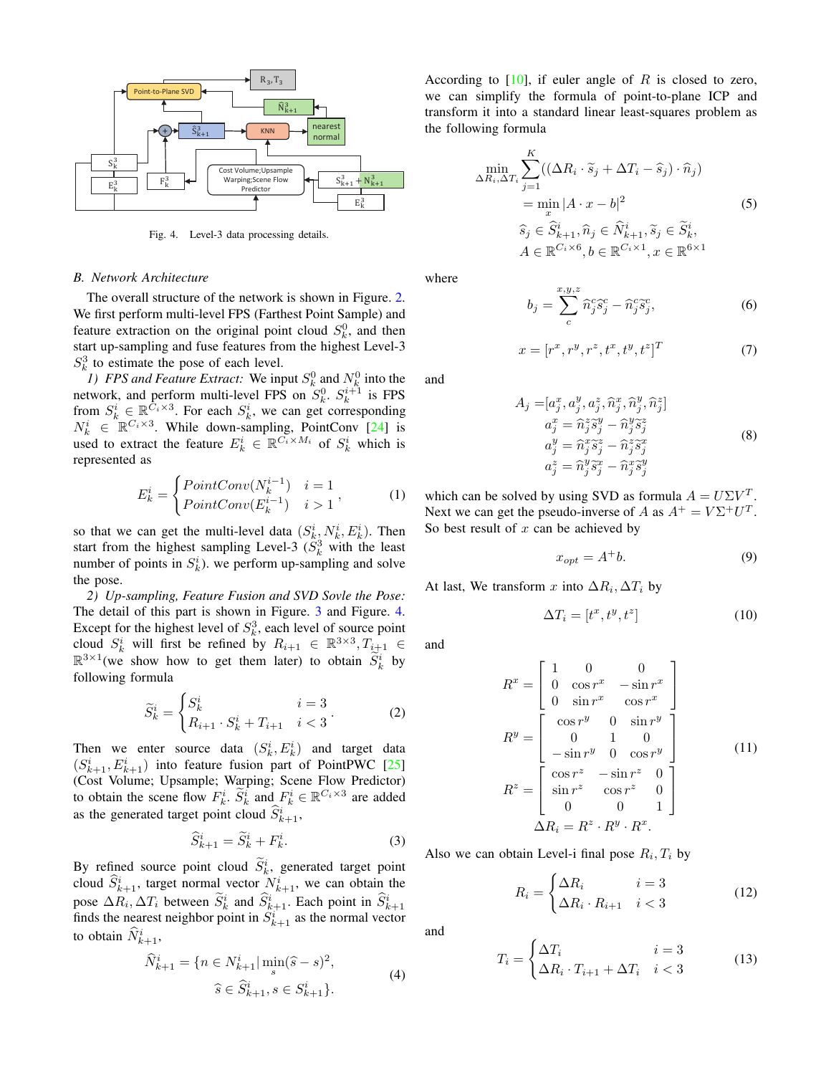

<span id="page-2-0"></span>Fig. 4. Level-3 data processing details.

### *B. Network Architecture*

The overall structure of the network is shown in Figure. [2.](#page-1-0) We first perform multi-level FPS (Farthest Point Sample) and feature extraction on the original point cloud  $S_k^0$ , and then start up-sampling and fuse features from the highest Level-3  $S_k^3$  to estimate the pose of each level.

*1) FPS and Feature Extract:* We input  $S_k^0$  and  $N_k^0$  into the network, and perform multi-level FPS on  $S_k^0$ .  $S_k^{i+1}$  is FPS from  $S_k^i \in \mathbb{R}^{C_i \times 3}$ . For each  $S_k^i$ , we can get corresponding  $N_k^i \in \mathbb{R}^{C_i \times 3}$ . While down-sampling, PointConv [\[24\]](#page-6-8) is used to extract the feature  $E_k^i \in \mathbb{R}^{C_i \times M_i}$  of  $S_k^i$  which is represented as

$$
E_k^i = \begin{cases} PointConv(N_k^{i-1}) & i = 1\\ PointConv(E_k^{i-1}) & i > 1 \end{cases}, \tag{1}
$$

so that we can get the multi-level data  $(S_k^i, N_k^i, E_k^i)$ . Then start from the highest sampling Level-3  $(S_k^3$  with the least number of points in  $S_k^i$ ). we perform up-sampling and solve the pose.

*2) Up-sampling, Feature Fusion and SVD Sovle the Pose:* The detail of this part is shown in Figure. [3](#page-1-1) and Figure. [4.](#page-2-0) Except for the highest level of  $S_k^3$ , each level of source point cloud  $S_k^i$  will first be refined by  $R_{i+1} \in \mathbb{R}^{3 \times 3}, T_{i+1} \in$  $\mathbb{R}^{3\times1}$  (we show how to get them later) to obtain  $\widetilde{S}_k^i$  by following formula

$$
\widetilde{S}_{k}^{i} = \begin{cases} S_{k}^{i} & i = 3\\ R_{i+1} \cdot S_{k}^{i} + T_{i+1} & i < 3 \end{cases} (2)
$$

Then we enter source data  $(S_k^i, E_k^i)$  and target data  $(S_{k+1}^i, E_{k+1}^i)$  into feature fusion part of PointPWC [\[25\]](#page-6-0) (Cost Volume; Upsample; Warping; Scene Flow Predictor) to obtain the scene flow  $F_k^i$ .  $\widetilde{S}_k^i$  and  $F_k^i \in \mathbb{R}^{C_i \times 3}$  are added as the generated target point cloud  $\hat{S}_{k+1}^{i}$ ,

$$
\widehat{S}_{k+1}^i = \widetilde{S}_k^i + F_k^i.
$$
 (3)

By refined source point cloud  $S_k^i$ , generated target point cloud  $\widehat{S}_{k+1}^i$ , target normal vector  $N_{k+1}^i$ , we can obtain the pose  $\Delta R_i$ ,  $\Delta T_i$  between  $\widetilde{S}_k^i$  and  $\widehat{S}_{k+1}^i$ . Each point in  $\widehat{S}_{k+1}^i$  finds the nearest neighbor point in  $S_{k+1}^i$  as the normal vector to obtain  $\widehat{N}_{k+1}^i$ ,

$$
\widehat{N}_{k+1}^i = \{ n \in N_{k+1}^i | \min_s (\widehat{s} - s)^2, \n\widehat{s} \in \widehat{S}_{k+1}^i, s \in S_{k+1}^i \}.
$$
\n(4)

According to  $[10]$ , if euler angle of R is closed to zero, we can simplify the formula of point-to-plane ICP and transform it into a standard linear least-squares problem as the following formula

$$
\min_{\Delta R_i, \Delta T_i} \sum_{j=1}^K ((\Delta R_i \cdot \widetilde{s}_j + \Delta T_i - \widehat{s}_j) \cdot \widehat{n}_j)
$$
  
\n
$$
= \min_x |A \cdot x - b|^2
$$
(5)  
\n
$$
\widehat{s}_j \in \widehat{S}_{k+1}^i, \widehat{n}_j \in \widehat{N}_{k+1}^i, \widetilde{s}_j \in \widetilde{S}_k^i,
$$
  
\n
$$
A \in \mathbb{R}^{C_i \times 6}, b \in \mathbb{R}^{C_i \times 1}, x \in \mathbb{R}^{6 \times 1}
$$

where

$$
b_j = \sum_c^{x,y,z} \widehat{n}_j^c \widehat{s}_j^c - \widehat{n}_j^c \widetilde{s}_j^c,\tag{6}
$$

$$
x = [r^x, r^y, r^z, t^x, t^y, t^z]^T
$$
 (7)

and

$$
A_j = [a_j^x, a_j^y, a_j^z, \hat{n}_j^x, \hat{n}_j^y, \hat{n}_j^z]
$$
  
\n
$$
a_j^x = \hat{n}_j^z \tilde{s}_j^y - \hat{n}_j^y \tilde{s}_j^z
$$
  
\n
$$
a_j^y = \hat{n}_j^x \tilde{s}_j^z - \hat{n}_j^z \tilde{s}_j^x
$$
  
\n
$$
a_j^z = \hat{n}_j^y \tilde{s}_j^x - \hat{n}_j^x \tilde{s}_j^y
$$
  
\n(8)

which can be solved by using SVD as formula  $A = U\Sigma V^T$ . Next we can get the pseudo-inverse of A as  $A^+ = V\Sigma^+ U^T$ . So best result of  $x$  can be achieved by

$$
x_{opt} = A^+b. \tag{9}
$$

At last, We transform x into  $\Delta R_i, \Delta T_i$  by

$$
\Delta T_i = [t^x, t^y, t^z] \tag{10}
$$

and

$$
R^{x} = \begin{bmatrix} 1 & 0 & 0 \\ 0 & \cos r^{x} & -\sin r^{x} \\ 0 & \sin r^{x} & \cos r^{x} \end{bmatrix}
$$
  
\n
$$
R^{y} = \begin{bmatrix} \cos r^{y} & 0 & \sin r^{y} \\ 0 & 1 & 0 \\ -\sin r^{y} & 0 & \cos r^{y} \end{bmatrix}
$$
  
\n
$$
R^{z} = \begin{bmatrix} \cos r^{z} & -\sin r^{z} & 0 \\ \sin r^{z} & \cos r^{z} & 0 \\ 0 & 0 & 1 \end{bmatrix}
$$
  
\n
$$
\Delta R_{i} = R^{z} \cdot R^{y} \cdot R^{x}.
$$
 (11)

Also we can obtain Level-i final pose  $R_i, T_i$  by

$$
R_i = \begin{cases} \Delta R_i & i = 3\\ \Delta R_i \cdot R_{i+1} & i < 3 \end{cases} \tag{12}
$$

and

$$
T_i = \begin{cases} \Delta T_i & i = 3\\ \Delta R_i \cdot T_{i+1} + \Delta T_i & i < 3 \end{cases} \tag{13}
$$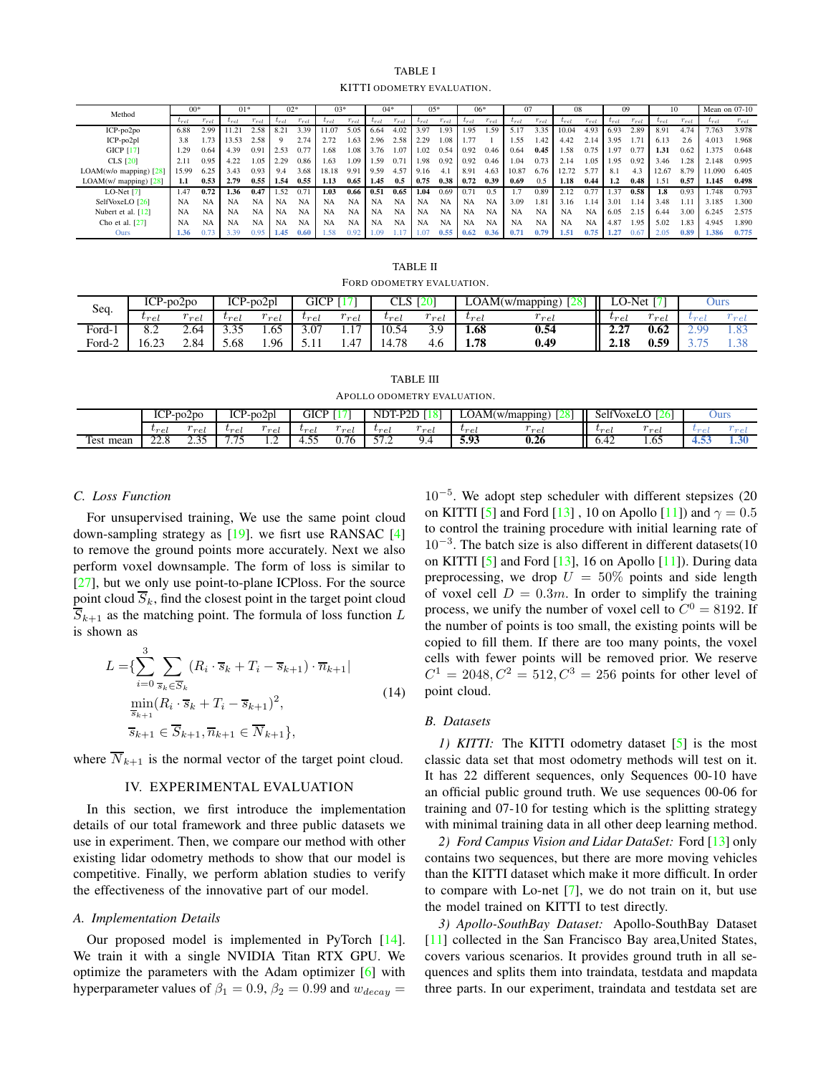### TABLE I KITTI ODOMETRY EVALUATION.

<span id="page-3-0"></span>

| Method                     | $00*$     |           | $01*$     |           | $02*$     |           | $03*$     |           | $04*$     |           | $05*$        |           | $06*$         |           |           |           | 08        |               | 09            |               | 10       |           | Mean on 07-10 |           |
|----------------------------|-----------|-----------|-----------|-----------|-----------|-----------|-----------|-----------|-----------|-----------|--------------|-----------|---------------|-----------|-----------|-----------|-----------|---------------|---------------|---------------|----------|-----------|---------------|-----------|
|                            | $t_{rel}$ | $r_{rel}$ | $t_{ref}$ | $r_{rel}$ | $_{rel}$  | $r_{rel}$ | $r_{el}$  | $r_{rel}$ | $-rel$    | $r_{rel}$ | $\iota_{re}$ | $r_{re}$  | $\iota_{rel}$ | $r_{rel}$ | $t_{rel}$ | $r_{rel}$ | rel       | $r_{rel}$     | $t_{rel}$     | $r_{rel}$     | $r_{el}$ | $r_{rel}$ | rel           | $r_{rel}$ |
| $ICP-po2po$                | 6.88      | 2.99      | 11.21     | 2.58      | 8.21      | 3.39      | 1.07      | 5.05      | 6.64      | 4.02      | 3.97         | 1.93      | 1.95          | .59       | 5.17      | 3.35      | 10.04     | $4.9^{\circ}$ | 6.93          | 2.89          | 8.91     | 4.74      | 7.763         | 3.978     |
| $ICP-po2pl$                | 3.8       | 1.73      | 13.53     | 2.58      |           | 2.74      | 2.72      | 1.63      | 2.96      | 2.58      | 2.29         | 1.08      | 1.77          |           | 1.55      | 1.42      | 4.42      | 2.14          | 3.95          | 1.7'          | 6.13     | 2.6       | 4.013         | 1.968     |
| <b>GICP</b> [17]           | .29       | 0.64      | 4.39      | 0.91      | 2.53      | 0.77      | .68       | 1.08      | 3.76      | 1.07      | 1.02         | 0.54      | 0.92          | 0.46      | 0.64      | 0.45      | 1.58      | 0.75          | 1.97          | $0.7^{\circ}$ | 1.31     | 0.62      | 1.375         | 0.648     |
| <b>CLS</b> [20]            | 2.11      | 0.95      | 4.22      | 1.05      | 2.29      | 0.86      | 1.63      | 1.09      | .59       | 0.7       | 1.98         | 0.92      | 0.92          | 0.46      | 1.04      | 0.73      | 2.14      | 1.05          | 1.95          | 0.92          | 3.46     | 1.28      | 2.148         | 0.995     |
| $LOAM(w/o$ mapping) $[28]$ | 15.99     | 6.25      | 3.43      | 0.93      | 9.4       | 3.68      | 18.18     | 9.91      | 9.59      | 4.57      | 9.16         | 4.1       | 8.91          | 4.63      | 10.87     | 6.76      | 12.72     | 5.77          | 8.1           | 4.3           | 12.67    | 8.79      | 11.090        | 6.405     |
| $LOAM(w/mapping)$ [28]     | 1.1       | 0.53      | 2.79      | 0.55      | 1.54      | 0.55      | 1.13      | 0.65      | 1.45      | 0.5       | 0.75         | 0.38      | 0.72          | 0.39      | 0.69      | 0.5       | 1.18      | 0.44          | $1.2^{\circ}$ | 0.48          | 1.51     | 0.57      | 1.145         | 0.498     |
| LO-Net $[7]$               | 1.47      | 0.72      | 1.36      | 0.47      | .52       | 0.71      | 1.03      | 0.66      | 0.51      | 0.65      | 1.04         | 0.69      | 0.71          | 0.5       |           | 0.89      |           | $0.7^{-}$     | .37           | 0.58          | 1.8      | 0.93      | .748          | 0.793     |
| SelfVoxeLO [26]            | <b>NA</b> | <b>NA</b> | <b>NA</b> | <b>NA</b> | <b>NA</b> | <b>NA</b> | <b>NA</b> | <b>NA</b> | <b>NA</b> | <b>NA</b> | <b>NA</b>    | <b>NA</b> | <b>NA</b>     | <b>NA</b> | 3.09      | 1.81      | 3.16      |               | 3.01          | 1.14          | 3.48     | 1.1       | 3.185         | .300      |
| Nubert et al. [12]         | <b>NA</b> | <b>NA</b> | <b>NA</b> | <b>NA</b> | NA        | <b>NA</b> | <b>NA</b> | <b>NA</b> | <b>NA</b> | <b>NA</b> | <b>NA</b>    | <b>NA</b> | <b>NA</b>     | <b>NA</b> | <b>NA</b> | <b>NA</b> | <b>NA</b> | NA            | 6.05          | 2.15          | 6.44     | 3.00      | 6.245         | 2.575     |
| Cho et al. [27]            | <b>NA</b> | <b>NA</b> | <b>NA</b> | <b>NA</b> | <b>NA</b> | <b>NA</b> | NA        | <b>NA</b> | <b>NA</b> | <b>NA</b> | NA           | <b>NA</b> | <b>NA</b>     | <b>NA</b> | <b>NA</b> | <b>NA</b> | <b>NA</b> | <b>NA</b>     | 4.87          | 1.95          | 5.02     | 1.83      | 4.945         | .890      |
| Ours                       | 1.36      | 0.7       | 3.39      | 0.95      | 1.45      | 0.60      | 58        | 0.92      | .09       |           | 1.07         | 0.55      | 0.62          | 0.36      | 0.71      | 0.79      | 1.51      | 0.75          |               | 0.67          | 2.05     | 0.89      | 1.386         | 0.775     |

TABLE II FORD ODOMETRY EVALUATION.

<span id="page-3-1"></span>

| Seq.            | $ICP-po2po$ |      | $ICP-po2pl$      |                          | GICP      |                 | دبيت                              | <b>120</b>      |           | (JAM(w/mapping) | --                | Net. | Ours     |      |
|-----------------|-------------|------|------------------|--------------------------|-----------|-----------------|-----------------------------------|-----------------|-----------|-----------------|-------------------|------|----------|------|
|                 | $v_{rel}$   | ret  | $v_{ret}$        | $\sim$<br>re<br><u>u</u> | $v_{rel}$ | $\infty$<br>rel | $v_{rel}$                         | $\alpha$<br>rel | $v_{rel}$ | $\sim$<br>rel   | $v_{\mathcal{P}}$ | ret  | しゃっ      | n    |
| $_{\rm Ford-1}$ | o. 2        | 2.64 | $\Omega$<br>3.3J | 1.65                     | 3.07      |                 | 0.54                              | 5.5             | 1.68      | 0.54            | $\sim$<br>4.Z     | 0.62 | $\Omega$ | 1.03 |
| $_{\rm Ford-2}$ | 16.23       | 2.84 | 5.68             | 1.96                     | .         | 1.47            | $\overline{\phantom{a}}$<br>14.78 | 7. U            | 1.78      | 0.49            | 2.18              | 0.59 |          | 1.90 |

TABLE III APOLLO ODOMETRY EVALUATION.

<span id="page-3-2"></span>

|                        | $\tau$<br>$2-p02p0$<br>∼ |                           | TCD<br>$\sim$<br>P-po2pl<br>ice |               | GICP                       |                   | $ND^{\mathsf{T}}$ | <b>LPT</b> | $\Delta$ OA            | $\cap$<br>AM(w/mapping)<br>∠ | selfV<br>* VoxeL | $\sim$ $\sim$ | Ours      |       |
|------------------------|--------------------------|---------------------------|---------------------------------|---------------|----------------------------|-------------------|-------------------|------------|------------------------|------------------------------|------------------|---------------|-----------|-------|
|                        | $^{v_{rel}}$             | $\sim$<br>re <sub>t</sub> | $v_{rel}$                       | $\sim$<br>rol | $ v_{\mathcal{P}}\varrho $ | $\sim$<br>re<br>÷ | $v_{re}$          | re         | $v_{\mathcal{P}}$<br>÷ | re                           | $v_{re}$         | re            | $_{line}$ | ' ന ല |
| $\sim$<br>mean<br>Test | $\sim$<br>$- - \cdot$    | $\sim$ $\sim$<br>ن ب      | --<br>.                         | .             |                            | 76<br>v<br>◡      | --<br>.           | 7.4        | 5.93                   | 0.26                         | 0.42             | 1.UJ          | ு∾        | 1.50  |

## *C. Loss Function*

For unsupervised training, We use the same point cloud down-sampling strategy as  $[19]$ . we fisrt use RANSAC  $[4]$ to remove the ground points more accurately. Next we also perform voxel downsample. The form of loss is similar to [\[27\]](#page-6-4), but we only use point-to-plane ICPloss. For the source point cloud  $\overline{S}_k$ , find the closest point in the target point cloud  $\overline{S}_{k+1}$  as the matching point. The formula of loss function L is shown as

$$
L = \left\{ \sum_{i=0}^{3} \sum_{\overline{s}_k \in \overline{S}_k} (R_i \cdot \overline{s}_k + T_i - \overline{s}_{k+1}) \cdot \overline{n}_{k+1} \right\}
$$
  
\n
$$
\min_{\overline{s}_{k+1}} (R_i \cdot \overline{s}_k + T_i - \overline{s}_{k+1})^2,
$$
  
\n
$$
\overline{s}_{k+1} \in \overline{S}_{k+1}, \overline{n}_{k+1} \in \overline{N}_{k+1} \},
$$
\n(14)

where  $\overline{N}_{k+1}$  is the normal vector of the target point cloud.

## IV. EXPERIMENTAL EVALUATION

In this section, we first introduce the implementation details of our total framework and three public datasets we use in experiment. Then, we compare our method with other existing lidar odometry methods to show that our model is competitive. Finally, we perform ablation studies to verify the effectiveness of the innovative part of our model.

### *A. Implementation Details*

Our proposed model is implemented in PyTorch [\[14\]](#page-5-15). We train it with a single NVIDIA Titan RTX GPU. We optimize the parameters with the Adam optimizer [\[6\]](#page-5-16) with hyperparameter values of  $\beta_1 = 0.9$ ,  $\beta_2 = 0.99$  and  $w_{decay} =$ 

10<sup>−</sup><sup>5</sup> . We adopt step scheduler with different stepsizes (20 on KITTI [\[5\]](#page-5-1) and Ford [\[13\]](#page-5-2), 10 on Apollo [\[11\]](#page-5-3)) and  $\gamma = 0.5$ to control the training procedure with initial learning rate of 10<sup>-3</sup>. The batch size is also different in different datasets(10 on KITTI  $[5]$  and Ford  $[13]$ , 16 on Apollo  $[11]$ ). During data preprocessing, we drop  $U = 50\%$  points and side length of voxel cell  $D = 0.3m$ . In order to simplify the training process, we unify the number of voxel cell to  $C^0 = 8192$ . If the number of points is too small, the existing points will be copied to fill them. If there are too many points, the voxel cells with fewer points will be removed prior. We reserve  $C^1 = 2048, C^2 = 512, C^3 = 256$  points for other level of point cloud.

#### *B. Datasets*

*1) KITTI:* The KITTI odometry dataset [\[5\]](#page-5-1) is the most classic data set that most odometry methods will test on it. It has 22 different sequences, only Sequences 00-10 have an official public ground truth. We use sequences 00-06 for training and 07-10 for testing which is the splitting strategy with minimal training data in all other deep learning method.

*2) Ford Campus Vision and Lidar DataSet:* Ford [\[13\]](#page-5-2) only contains two sequences, but there are more moving vehicles than the KITTI dataset which make it more difficult. In order to compare with Lo-net [\[7\]](#page-5-4), we do not train on it, but use the model trained on KITTI to test directly.

*3) Apollo-SouthBay Dataset:* Apollo-SouthBay Dataset [\[11\]](#page-5-3) collected in the San Francisco Bay area,United States, covers various scenarios. It provides ground truth in all sequences and splits them into traindata, testdata and mapdata three parts. In our experiment, traindata and testdata set are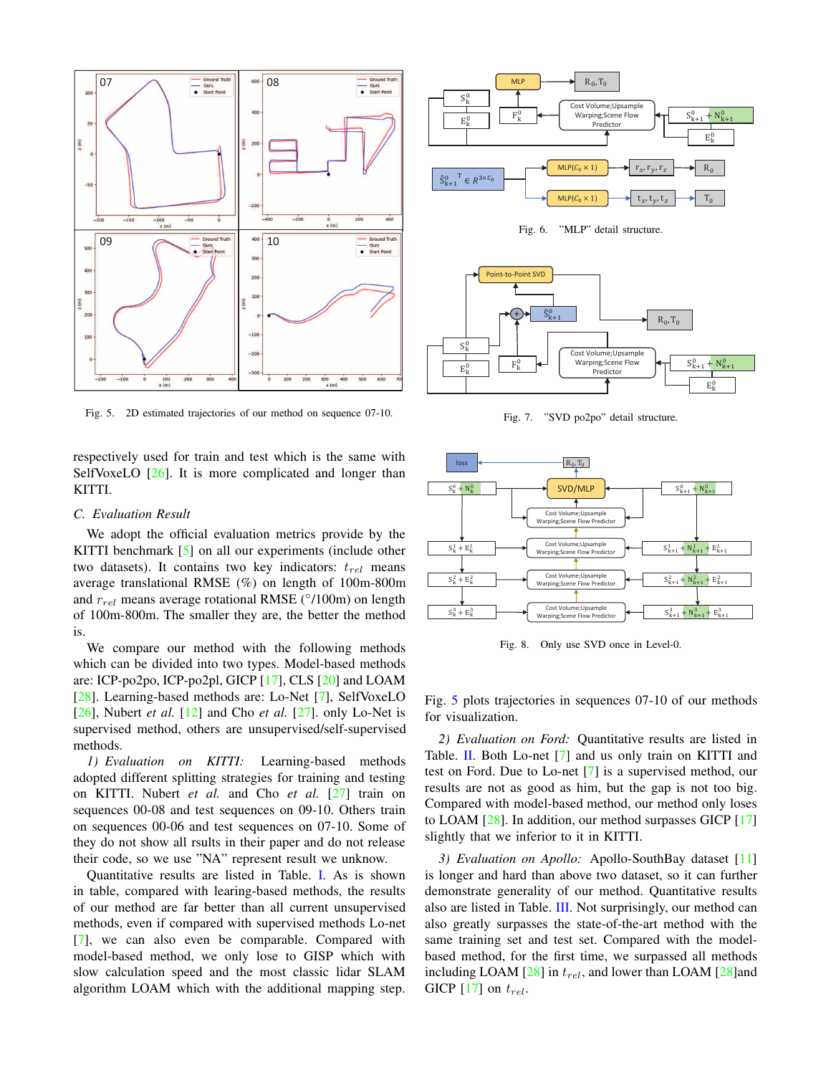

<span id="page-4-0"></span>Fig. 5. 2D estimated trajectories of our method on sequence 07-10.

respectively used for train and test which is the same with SelfVoxeLO [\[26\]](#page-6-1). It is more complicated and longer than KITTI.

### *C. Evaluation Result*

We adopt the official evaluation metrics provide by the KITTI benchmark [\[5\]](#page-5-1) on all our experiments (include other two datasets). It contains two key indicators:  $t_{rel}$  means average translational RMSE (%) on length of 100m-800m and  $r_{rel}$  means average rotational RMSE ( $°/100$ m) on length of 100m-800m. The smaller they are, the better the method is.

We compare our method with the following methods which can be divided into two types. Model-based methods are: ICP-po2po, ICP-po2pl, GICP [\[17\]](#page-5-11), CLS [\[20\]](#page-6-9) and LOAM [\[28\]](#page-6-2). Learning-based methods are: Lo-Net [\[7\]](#page-5-4), SelfVoxeLO [\[26\]](#page-6-1), Nubert *et al.* [\[12\]](#page-5-5) and Cho *et al.* [\[27\]](#page-6-4). only Lo-Net is supervised method, others are unsupervised/self-supervised methods.

*1) Evaluation on KITTI:* Learning-based methods adopted different splitting strategies for training and testing on KITTI. Nubert *et al.* and Cho *et al.* [\[27\]](#page-6-4) train on sequences 00-08 and test sequences on 09-10. Others train on sequences 00-06 and test sequences on 07-10. Some of they do not show all rsults in their paper and do not release their code, so we use "NA" represent result we unknow.

Quantitative results are listed in Table. [I.](#page-3-0) As is shown in table, compared with learing-based methods, the results of our method are far better than all current unsupervised methods, even if compared with supervised methods Lo-net [\[7\]](#page-5-4), we can also even be comparable. Compared with model-based method, we only lose to GISP which with slow calculation speed and the most classic lidar SLAM algorithm LOAM which with the additional mapping step.



<span id="page-4-1"></span>Fig. 6. "MLP" detail structure.



<span id="page-4-2"></span>Fig. 7. "SVD po2po" detail structure.



<span id="page-4-3"></span>Fig. 8. Only use SVD once in Level-0.

Fig. [5](#page-4-0) plots trajectories in sequences 07-10 of our methods for visualization.

*2) Evaluation on Ford:* Quantitative results are listed in Table. [II.](#page-3-1) Both Lo-net [\[7\]](#page-5-4) and us only train on KITTI and test on Ford. Due to Lo-net [\[7\]](#page-5-4) is a supervised method, our results are not as good as him, but the gap is not too big. Compared with model-based method, our method only loses to LOAM  $[28]$ . In addition, our method surpasses GICP  $[17]$ slightly that we inferior to it in KITTI.

*3) Evaluation on Apollo:* Apollo-SouthBay dataset [\[11\]](#page-5-3) is longer and hard than above two dataset, so it can further demonstrate generality of our method. Quantitative results also are listed in Table. [III.](#page-3-2) Not surprisingly, our method can also greatly surpasses the state-of-the-art method with the same training set and test set. Compared with the modelbased method, for the first time, we surpassed all methods including LOAM  $[28]$  in  $t_{rel}$ , and lower than LOAM  $[28]$ and GICP [\[17\]](#page-5-11) on  $t_{rel}$ .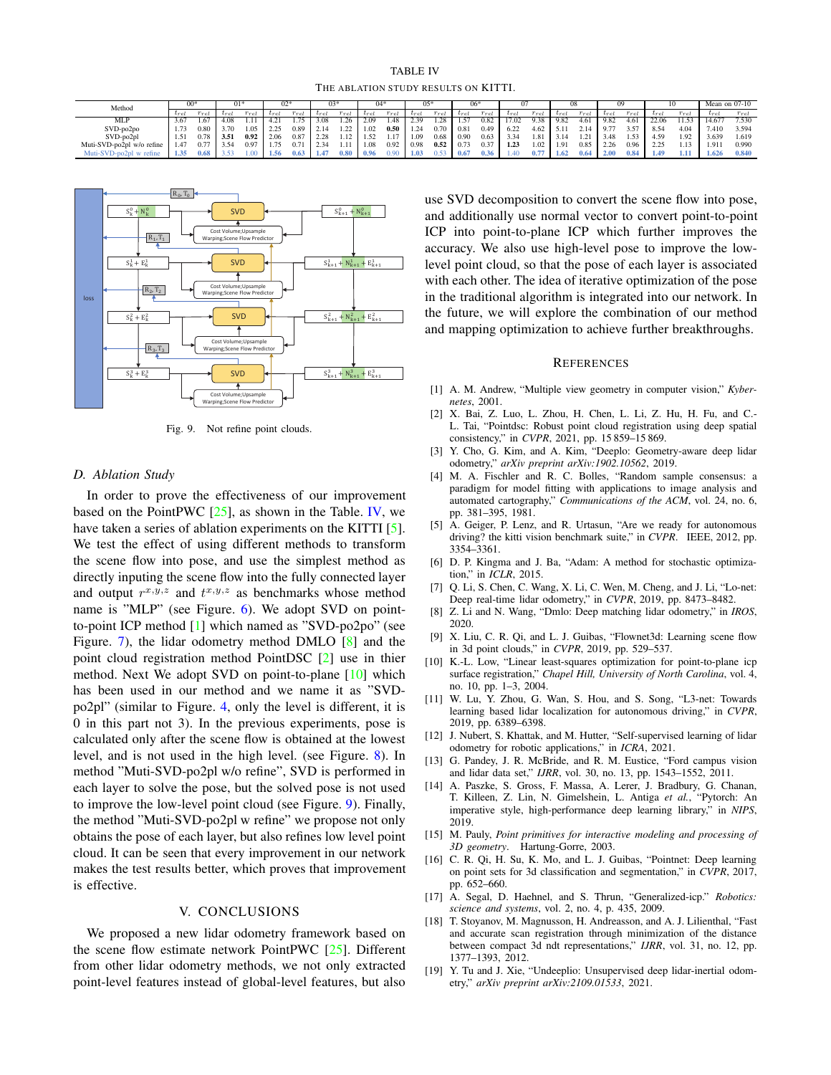TABLE IV THE ABLATION STUDY RESULTS ON KITTI.

<span id="page-5-17"></span>

| Method                     |                          |      |      |      |      | J2ª  |                               | 03   |           |           |           | 05        |           |      |                   |      |           |      |      | w         |       |      |           | Mean on 07-10 |
|----------------------------|--------------------------|------|------|------|------|------|-------------------------------|------|-----------|-----------|-----------|-----------|-----------|------|-------------------|------|-----------|------|------|-----------|-------|------|-----------|---------------|
|                            | $u_{\mathcal{F}\varphi}$ |      |      |      |      | rei  | $u_{\mathcal{D},\mathcal{D}}$ | rel  | $v_{rel}$ | $r_{rel}$ | $v_{rel}$ | $r_{rel}$ | $v_{rel}$ | rel  | $v_{\mathcal{P}}$ | rel  | $v_{ref}$ | rel  |      | $r_{rel}$ |       | rel  | $v_{rel}$ | $r_{rel}$     |
| <b>MLP</b>                 |                          | 1.67 | 4.08 |      | 4.21 |      | 3.08                          | 26   | 2.09      | 1.48      | 2.39      | 1.28      | 1.57      | 0.82 | 17.02             | 9.38 | 9.82      | 4.61 | 9.82 | 4.61      | 22.06 | 1.53 | 14.677    | 7.530         |
| SVD-po2po                  |                          | 0.80 | 3.70 | 1.05 | 225  | 0.89 | 2.14                          | 22   | 1.02      | 0.50      | 1.24      | 0.70      | 0.81      | 0.49 | 6.22              | 4.62 | 5.11      | 2.14 | 9.77 | 3.57      | 8.54  | 4.04 | 1.410     | 3.594         |
| SVD-po2pl                  | 1.51                     | 0.78 | 3.51 | 0.92 | 2.06 | 0.87 | 2.28                          | 1.12 | 1.52      | 1.17      | 1.09      | 0.68      | 0.90      | 0.63 | 3.34              | 1.81 | 3.14      | 1.21 | 3.48 | .53       | 4.59  | 1.92 | 3.639     | 1.619         |
| Muti-SVD-po2pl w/o refine  |                          | 0.77 | 3.54 | 0.97 | 75   | 0.7  | 2.34                          |      | 1.08      | 0.92      | 0.98      | 0.52      | 0.73      | 0.37 | 1.23              | 1.02 | 1.91      | 0.85 | 2.26 | 0.96      | 225   |      | 1.91      | 0.990         |
| Muti-SVD-po2pl<br>w refine |                          | 0.68 |      |      | 1.56 | 0.63 | 1.47                          | 0.80 | 0.96      | 0.90      | 1.03      | 0.53      | 0.67      | 0.36 | 1.40              |      | 1.62      | 0.64 | 2.00 | 0.84      | 1.49  |      | 1.626     | 0.840         |



<span id="page-5-20"></span>Fig. 9. Not refine point clouds.

## *D. Ablation Study*

In order to prove the effectiveness of our improvement based on the PointPWC  $[25]$ , as shown in the Table. [IV,](#page-5-17) we have taken a series of ablation experiments on the KITTI [\[5\]](#page-5-1). We test the effect of using different methods to transform the scene flow into pose, and use the simplest method as directly inputing the scene flow into the fully connected layer and output  $r^{x,y,z}$  and  $t^{x,y,z}$  as benchmarks whose method name is "MLP" (see Figure. [6\)](#page-4-1). We adopt SVD on pointto-point ICP method [\[1\]](#page-5-18) which named as "SVD-po2po" (see Figure. [7\)](#page-4-2), the lidar odometry method DMLO [\[8\]](#page-5-6) and the point cloud registration method PointDSC [\[2\]](#page-5-19) use in thier method. Next We adopt SVD on point-to-plane [\[10\]](#page-5-0) which has been used in our method and we name it as "SVDpo2pl" (similar to Figure. [4,](#page-2-0) only the level is different, it is 0 in this part not 3). In the previous experiments, pose is calculated only after the scene flow is obtained at the lowest level, and is not used in the high level. (see Figure. [8\)](#page-4-3). In method "Muti-SVD-po2pl w/o refine", SVD is performed in each layer to solve the pose, but the solved pose is not used to improve the low-level point cloud (see Figure. [9\)](#page-5-20). Finally, the method "Muti-SVD-po2pl w refine" we propose not only obtains the pose of each layer, but also refines low level point cloud. It can be seen that every improvement in our network makes the test results better, which proves that improvement is effective.

# V. CONCLUSIONS

We proposed a new lidar odometry framework based on the scene flow estimate network PointPWC [\[25\]](#page-6-0). Different from other lidar odometry methods, we not only extracted point-level features instead of global-level features, but also

use SVD decomposition to convert the scene flow into pose, and additionally use normal vector to convert point-to-point ICP into point-to-plane ICP which further improves the accuracy. We also use high-level pose to improve the lowlevel point cloud, so that the pose of each layer is associated with each other. The idea of iterative optimization of the pose in the traditional algorithm is integrated into our network. In the future, we will explore the combination of our method and mapping optimization to achieve further breakthroughs.

#### **REFERENCES**

- <span id="page-5-18"></span>[1] A. M. Andrew, "Multiple view geometry in computer vision," *Kybernetes*, 2001.
- <span id="page-5-19"></span>[2] X. Bai, Z. Luo, L. Zhou, H. Chen, L. Li, Z. Hu, H. Fu, and C.- L. Tai, "Pointdsc: Robust point cloud registration using deep spatial consistency," in *CVPR*, 2021, pp. 15 859–15 869.
- <span id="page-5-8"></span>[3] Y. Cho, G. Kim, and A. Kim, "Deeplo: Geometry-aware deep lidar odometry," *arXiv preprint arXiv:1902.10562*, 2019.
- <span id="page-5-14"></span>[4] M. A. Fischler and R. C. Bolles, "Random sample consensus: a paradigm for model fitting with applications to image analysis and automated cartography," *Communications of the ACM*, vol. 24, no. 6, pp. 381–395, 1981.
- <span id="page-5-1"></span>[5] A. Geiger, P. Lenz, and R. Urtasun, "Are we ready for autonomous driving? the kitti vision benchmark suite," in *CVPR*. IEEE, 2012, pp. 3354–3361.
- <span id="page-5-16"></span>[6] D. P. Kingma and J. Ba, "Adam: A method for stochastic optimization," in *ICLR*, 2015.
- <span id="page-5-4"></span>[7] Q. Li, S. Chen, C. Wang, X. Li, C. Wen, M. Cheng, and J. Li, "Lo-net: Deep real-time lidar odometry," in *CVPR*, 2019, pp. 8473–8482.
- <span id="page-5-6"></span>[8] Z. Li and N. Wang, "Dmlo: Deep matching lidar odometry," in *IROS*, 2020.
- <span id="page-5-9"></span>[9] X. Liu, C. R. Qi, and L. J. Guibas, "Flownet3d: Learning scene flow in 3d point clouds," in *CVPR*, 2019, pp. 529–537.
- <span id="page-5-0"></span>[10] K.-L. Low, "Linear least-squares optimization for point-to-plane icp surface registration," *Chapel Hill, University of North Carolina*, vol. 4, no. 10, pp. 1–3, 2004.
- <span id="page-5-3"></span>[11] W. Lu, Y. Zhou, G. Wan, S. Hou, and S. Song, "L3-net: Towards learning based lidar localization for autonomous driving," in *CVPR*, 2019, pp. 6389–6398.
- <span id="page-5-5"></span>[12] J. Nubert, S. Khattak, and M. Hutter, "Self-supervised learning of lidar odometry for robotic applications," in *ICRA*, 2021.
- <span id="page-5-2"></span>[13] G. Pandey, J. R. McBride, and R. M. Eustice, "Ford campus vision and lidar data set," *IJRR*, vol. 30, no. 13, pp. 1543–1552, 2011.
- <span id="page-5-15"></span>[14] A. Paszke, S. Gross, F. Massa, A. Lerer, J. Bradbury, G. Chanan, T. Killeen, Z. Lin, N. Gimelshein, L. Antiga *et al.*, "Pytorch: An imperative style, high-performance deep learning library," in *NIPS*, 2019.
- <span id="page-5-10"></span>[15] M. Pauly, *Point primitives for interactive modeling and processing of 3D geometry*. Hartung-Gorre, 2003.
- <span id="page-5-7"></span>[16] C. R. Qi, H. Su, K. Mo, and L. J. Guibas, "Pointnet: Deep learning on point sets for 3d classification and segmentation," in *CVPR*, 2017, pp. 652–660.
- <span id="page-5-11"></span>[17] A. Segal, D. Haehnel, and S. Thrun, "Generalized-icp." *Robotics: science and systems*, vol. 2, no. 4, p. 435, 2009.
- <span id="page-5-12"></span>[18] T. Stoyanov, M. Magnusson, H. Andreasson, and A. J. Lilienthal, "Fast and accurate scan registration through minimization of the distance between compact 3d ndt representations," *IJRR*, vol. 31, no. 12, pp. 1377–1393, 2012.
- <span id="page-5-13"></span>[19] Y. Tu and J. Xie, "Undeeplio: Unsupervised deep lidar-inertial odometry," *arXiv preprint arXiv:2109.01533*, 2021.